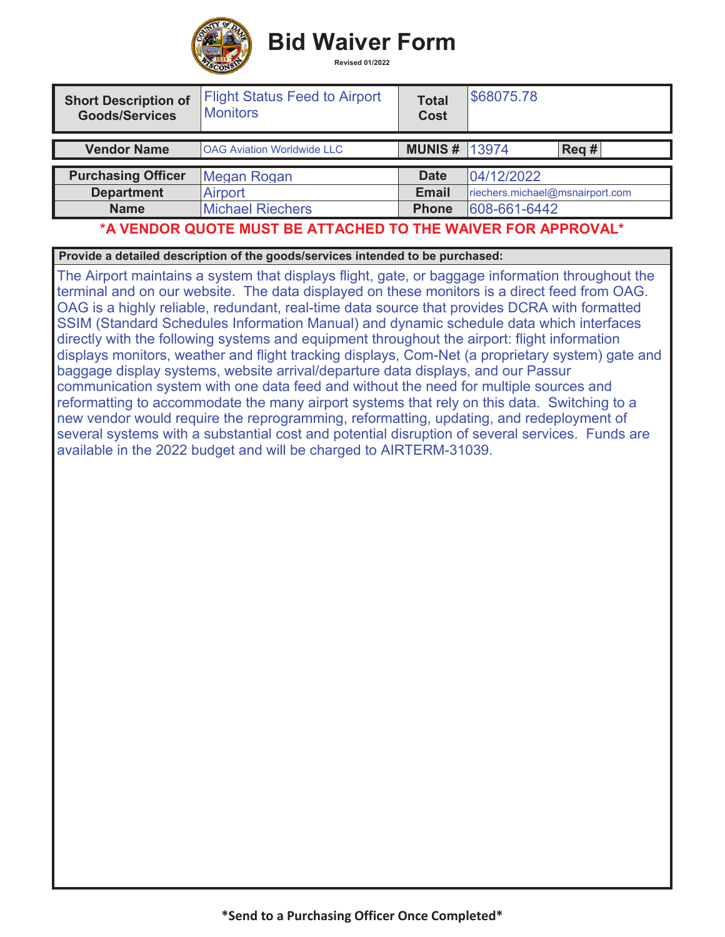

**Bid Waiver Form** 

| <b>Short Description of</b><br><b>Goods/Services</b> | <b>Flight Status Feed to Airport</b><br><b>Monitors</b> | Total<br><b>Cost</b> | \$68075.78                      |                  |  |
|------------------------------------------------------|---------------------------------------------------------|----------------------|---------------------------------|------------------|--|
| <b>Vendor Name</b>                                   | <b>OAG Aviation Worldwide LLC</b>                       | <b>MUNIS # 13974</b> |                                 | $\text{Req } \#$ |  |
|                                                      |                                                         |                      |                                 |                  |  |
| <b>Purchasing Officer</b>                            | Megan Rogan                                             | <b>Date</b>          | 04/12/2022                      |                  |  |
| <b>Department</b>                                    | <b>Airport</b>                                          | <b>Email</b>         | riechers.michael@msnairport.com |                  |  |
| <b>Name</b>                                          | <b>Michael Riechers</b>                                 | <b>Phone</b>         | 608-661-6442                    |                  |  |

## **\*A VENDOR QUOTE MUST BE ATTACHED TO THE WAIVER FOR APPROVAL\***

**Provide a detailed description of the goods/services intended to be purchased:**

The Airport maintains a system that displays flight, gate, or baggage information throughout the terminal and on our website. The data displayed on these monitors is a direct feed from OAG. OAG is a highly reliable, redundant, real-time data source that provides DCRA with formatted SSIM (Standard Schedules Information Manual) and dynamic schedule data which interfaces directly with the following systems and equipment throughout the airport: flight information displays monitors, weather and flight tracking displays, Com-Net (a proprietary system) gate and baggage display systems, website arrival/departure data displays, and our Passur communication system with one data feed and without the need for multiple sources and reformatting to accommodate the many airport systems that rely on this data. Switching to a new vendor would require the reprogramming, reformatting, updating, and redeployment of several systems with a substantial cost and potential disruption of several services. Funds are available in the 2022 budget and will be charged to AIRTERM-31039.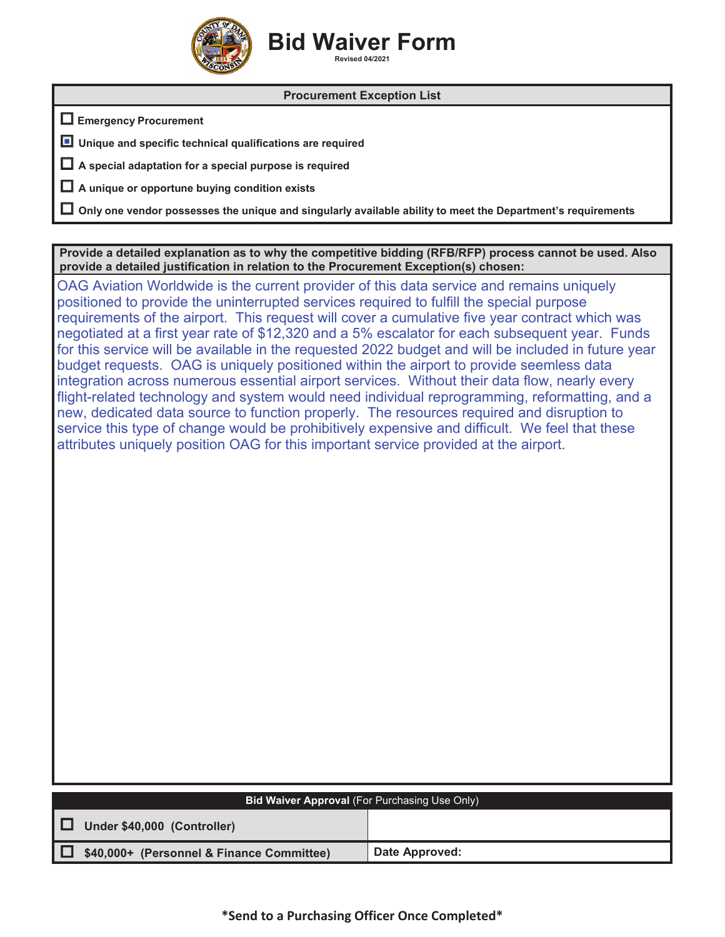

## **Bid Waiver Form Revised 04/2021**

## **Procurement Exception List**

**Emergency Procurement**

**Unique and specific technical qualifications are required** ■

**A special adaptation for a special purpose is required**

**A unique or opportune buying condition exists**

**Only one vendor possesses the unique and singularly available ability to meet the Department's requirements**

**Provide a detailed explanation as to why the competitive bidding (RFB/RFP) process cannot be used. Also provide a detailed justification in relation to the Procurement Exception(s) chosen:**

OAG Aviation Worldwide is the current provider of this data service and remains uniquely positioned to provide the uninterrupted services required to fulfill the special purpose requirements of the airport. This request will cover a cumulative five year contract which was negotiated at a first year rate of \$12,320 and a 5% escalator for each subsequent year. Funds for this service will be available in the requested 2022 budget and will be included in future year budget requests. OAG is uniquely positioned within the airport to provide seemless data integration across numerous essential airport services. Without their data flow, nearly every flight-related technology and system would need individual reprogramming, reformatting, and a new, dedicated data source to function properly. The resources required and disruption to service this type of change would be prohibitively expensive and difficult. We feel that these attributes uniquely position OAG for this important service provided at the airport.

| <b>Bid Waiver Approval (For Purchasing Use Only)</b> |                |  |  |  |  |  |
|------------------------------------------------------|----------------|--|--|--|--|--|
| Under \$40,000 (Controller)<br>╹⊔                    |                |  |  |  |  |  |
| \$40,000+ (Personnel & Finance Committee)            | Date Approved: |  |  |  |  |  |